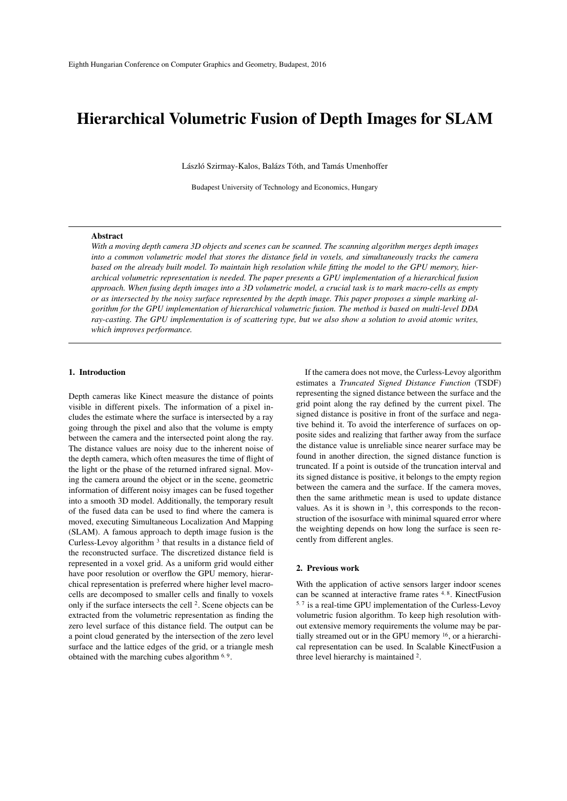# Hierarchical Volumetric Fusion of Depth Images for SLAM

László Szirmay-Kalos, Balázs Tóth, and Tamás Umenhoffer

Budapest University of Technology and Economics, Hungary

### Abstract

*With a moving depth camera 3D objects and scenes can be scanned. The scanning algorithm merges depth images into a common volumetric model that stores the distance field in voxels, and simultaneously tracks the camera based on the already built model. To maintain high resolution while fitting the model to the GPU memory, hierarchical volumetric representation is needed. The paper presents a GPU implementation of a hierarchical fusion approach. When fusing depth images into a 3D volumetric model, a crucial task is to mark macro-cells as empty or as intersected by the noisy surface represented by the depth image. This paper proposes a simple marking algorithm for the GPU implementation of hierarchical volumetric fusion. The method is based on multi-level DDA ray-casting. The GPU implementation is of scattering type, but we also show a solution to avoid atomic writes, which improves performance.*

# 1. Introduction

Depth cameras like Kinect measure the distance of points visible in different pixels. The information of a pixel includes the estimate where the surface is intersected by a ray going through the pixel and also that the volume is empty between the camera and the intersected point along the ray. The distance values are noisy due to the inherent noise of the depth camera, which often measures the time of flight of the light or the phase of the returned infrared signal. Moving the camera around the object or in the scene, geometric information of different noisy images can be fused together into a smooth 3D model. Additionally, the temporary result of the fused data can be used to find where the camera is moved, executing Simultaneous Localization And Mapping (SLAM). A famous approach to depth image fusion is the Curless-Levoy algorithm  $3$  that results in a distance field of the reconstructed surface. The discretized distance field is represented in a voxel grid. As a uniform grid would either have poor resolution or overflow the GPU memory, hierarchical representation is preferred where higher level macrocells are decomposed to smaller cells and finally to voxels only if the surface intersects the cell <sup>2</sup> . Scene objects can be extracted from the volumetric representation as finding the zero level surface of this distance field. The output can be a point cloud generated by the intersection of the zero level surface and the lattice edges of the grid, or a triangle mesh obtained with the marching cubes algorithm <sup>6</sup>*,* <sup>9</sup> .

If the camera does not move, the Curless-Levoy algorithm estimates a *Truncated Signed Distance Function* (TSDF) representing the signed distance between the surface and the grid point along the ray defined by the current pixel. The signed distance is positive in front of the surface and negative behind it. To avoid the interference of surfaces on opposite sides and realizing that farther away from the surface the distance value is unreliable since nearer surface may be found in another direction, the signed distance function is truncated. If a point is outside of the truncation interval and its signed distance is positive, it belongs to the empty region between the camera and the surface. If the camera moves, then the same arithmetic mean is used to update distance values. As it is shown in  $3$ , this corresponds to the reconstruction of the isosurface with minimal squared error where the weighting depends on how long the surface is seen recently from different angles.

# 2. Previous work

With the application of active sensors larger indoor scenes can be scanned at interactive frame rates <sup>4</sup>*,* <sup>8</sup> . KinectFusion 5*,* 7 is a real-time GPU implementation of the Curless-Levoy volumetric fusion algorithm. To keep high resolution without extensive memory requirements the volume may be partially streamed out or in the GPU memory <sup>16</sup>, or a hierarchical representation can be used. In Scalable KinectFusion a three level hierarchy is maintained <sup>2</sup>.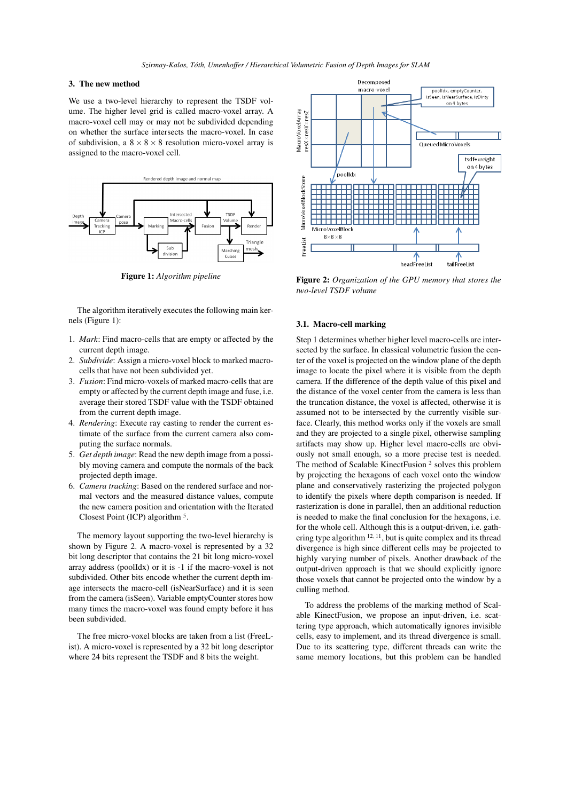# 3. The new method

We use a two-level hierarchy to represent the TSDF volume. The higher level grid is called macro-voxel array. A macro-voxel cell may or may not be subdivided depending on whether the surface intersects the macro-voxel. In case of subdivision, a  $8 \times 8 \times 8$  resolution micro-voxel array is assigned to the macro-voxel cell.



Figure 1: *Algorithm pipeline*

The algorithm iteratively executes the following main kernels (Figure 1):

- 1. *Mark*: Find macro-cells that are empty or affected by the current depth image.
- 2. *Subdivide*: Assign a micro-voxel block to marked macrocells that have not been subdivided yet.
- 3. *Fusion*: Find micro-voxels of marked macro-cells that are empty or affected by the current depth image and fuse, i.e. average their stored TSDF value with the TSDF obtained from the current depth image.
- 4. *Rendering*: Execute ray casting to render the current estimate of the surface from the current camera also computing the surface normals.
- 5. *Get depth image*: Read the new depth image from a possibly moving camera and compute the normals of the back projected depth image.
- 6. *Camera tracking*: Based on the rendered surface and normal vectors and the measured distance values, compute the new camera position and orientation with the Iterated Closest Point (ICP) algorithm<sup>5</sup>.

The memory layout supporting the two-level hierarchy is shown by Figure 2. A macro-voxel is represented by a 32 bit long descriptor that contains the 21 bit long micro-voxel array address (poolIdx) or it is -1 if the macro-voxel is not subdivided. Other bits encode whether the current depth image intersects the macro-cell (isNearSurface) and it is seen from the camera (isSeen). Variable emptyCounter stores how many times the macro-voxel was found empty before it has been subdivided.

The free micro-voxel blocks are taken from a list (FreeList). A micro-voxel is represented by a 32 bit long descriptor where 24 bits represent the TSDF and 8 bits the weight.



Figure 2: *Organization of the GPU memory that stores the two-level TSDF volume*

#### 3.1. Macro-cell marking

Step 1 determines whether higher level macro-cells are intersected by the surface. In classical volumetric fusion the center of the voxel is projected on the window plane of the depth image to locate the pixel where it is visible from the depth camera. If the difference of the depth value of this pixel and the distance of the voxel center from the camera is less than the truncation distance, the voxel is affected, otherwise it is assumed not to be intersected by the currently visible surface. Clearly, this method works only if the voxels are small and they are projected to a single pixel, otherwise sampling artifacts may show up. Higher level macro-cells are obviously not small enough, so a more precise test is needed. The method of Scalable KinectFusion <sup>2</sup> solves this problem by projecting the hexagons of each voxel onto the window plane and conservatively rasterizing the projected polygon to identify the pixels where depth comparison is needed. If rasterization is done in parallel, then an additional reduction is needed to make the final conclusion for the hexagons, i.e. for the whole cell. Although this is a output-driven, i.e. gathering type algorithm <sup>12, 11</sup>, but is quite complex and its thread divergence is high since different cells may be projected to highly varying number of pixels. Another drawback of the output-driven approach is that we should explicitly ignore those voxels that cannot be projected onto the window by a culling method.

To address the problems of the marking method of Scalable KinectFusion, we propose an input-driven, i.e. scattering type approach, which automatically ignores invisible cells, easy to implement, and its thread divergence is small. Due to its scattering type, different threads can write the same memory locations, but this problem can be handled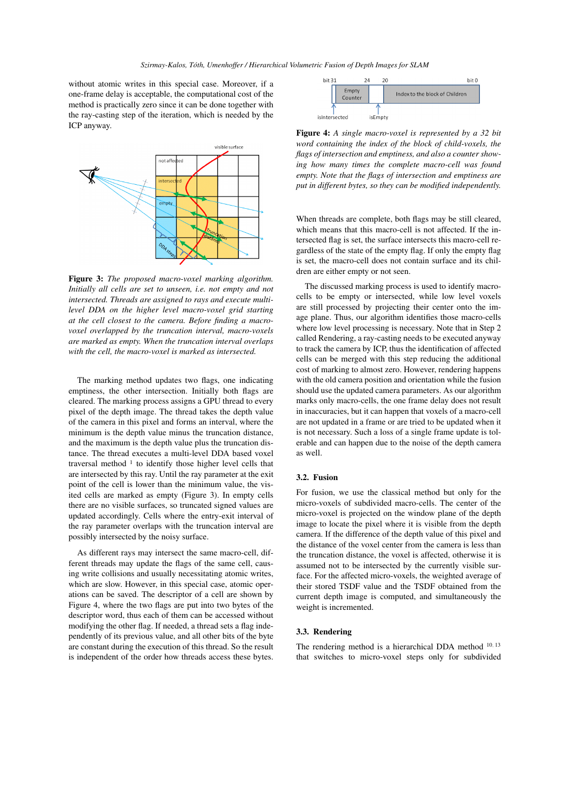without atomic writes in this special case. Moreover, if a one-frame delay is acceptable, the computational cost of the method is practically zero since it can be done together with the ray-casting step of the iteration, which is needed by the ICP anyway.



Figure 3: *The proposed macro-voxel marking algorithm. Initially all cells are set to unseen, i.e. not empty and not intersected. Threads are assigned to rays and execute multilevel DDA on the higher level macro-voxel grid starting at the cell closest to the camera. Before finding a macrovoxel overlapped by the truncation interval, macro-voxels are marked as empty. When the truncation interval overlaps with the cell, the macro-voxel is marked as intersected.*

The marking method updates two flags, one indicating emptiness, the other intersection. Initially both flags are cleared. The marking process assigns a GPU thread to every pixel of the depth image. The thread takes the depth value of the camera in this pixel and forms an interval, where the minimum is the depth value minus the truncation distance, and the maximum is the depth value plus the truncation distance. The thread executes a multi-level DDA based voxel traversal method <sup>1</sup> to identify those higher level cells that are intersected by this ray. Until the ray parameter at the exit point of the cell is lower than the minimum value, the visited cells are marked as empty (Figure 3). In empty cells there are no visible surfaces, so truncated signed values are updated accordingly. Cells where the entry-exit interval of the ray parameter overlaps with the truncation interval are possibly intersected by the noisy surface.

As different rays may intersect the same macro-cell, different threads may update the flags of the same cell, causing write collisions and usually necessitating atomic writes, which are slow. However, in this special case, atomic operations can be saved. The descriptor of a cell are shown by Figure 4, where the two flags are put into two bytes of the descriptor word, thus each of them can be accessed without modifying the other flag. If needed, a thread sets a flag independently of its previous value, and all other bits of the byte are constant during the execution of this thread. So the result is independent of the order how threads access these bytes.



Figure 4: *A single macro-voxel is represented by a 32 bit word containing the index of the block of child-voxels, the flags of intersection and emptiness, and also a counter showing how many times the complete macro-cell was found empty. Note that the flags of intersection and emptiness are put in different bytes, so they can be modified independently.*

When threads are complete, both flags may be still cleared, which means that this macro-cell is not affected. If the intersected flag is set, the surface intersects this macro-cell regardless of the state of the empty flag. If only the empty flag is set, the macro-cell does not contain surface and its children are either empty or not seen.

The discussed marking process is used to identify macrocells to be empty or intersected, while low level voxels are still processed by projecting their center onto the image plane. Thus, our algorithm identifies those macro-cells where low level processing is necessary. Note that in Step 2 called Rendering, a ray-casting needs to be executed anyway to track the camera by ICP, thus the identification of affected cells can be merged with this step reducing the additional cost of marking to almost zero. However, rendering happens with the old camera position and orientation while the fusion should use the updated camera parameters. As our algorithm marks only macro-cells, the one frame delay does not result in inaccuracies, but it can happen that voxels of a macro-cell are not updated in a frame or are tried to be updated when it is not necessary. Such a loss of a single frame update is tolerable and can happen due to the noise of the depth camera as well.

## 3.2. Fusion

For fusion, we use the classical method but only for the micro-voxels of subdivided macro-cells. The center of the micro-voxel is projected on the window plane of the depth image to locate the pixel where it is visible from the depth camera. If the difference of the depth value of this pixel and the distance of the voxel center from the camera is less than the truncation distance, the voxel is affected, otherwise it is assumed not to be intersected by the currently visible surface. For the affected micro-voxels, the weighted average of their stored TSDF value and the TSDF obtained from the current depth image is computed, and simultaneously the weight is incremented.

## 3.3. Rendering

The rendering method is a hierarchical DDA method <sup>10</sup>*,* <sup>13</sup> that switches to micro-voxel steps only for subdivided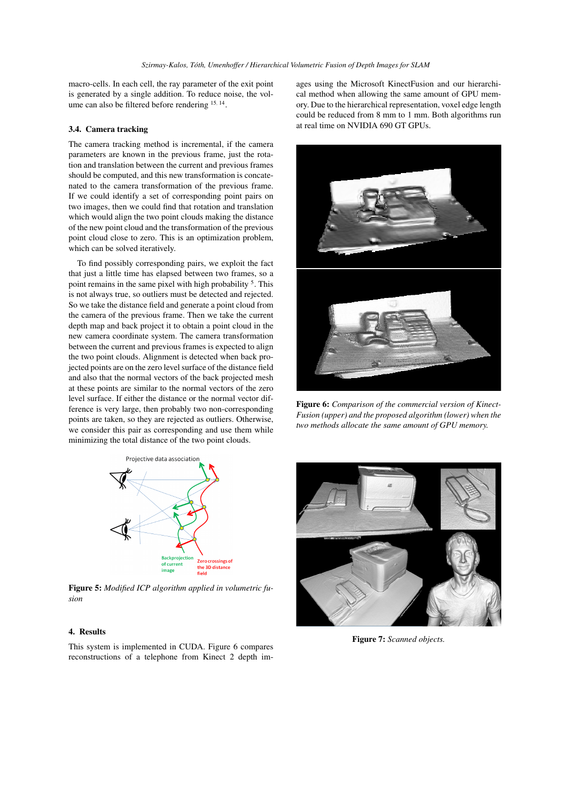macro-cells. In each cell, the ray parameter of the exit point is generated by a single addition. To reduce noise, the volume can also be filtered before rendering <sup>15</sup>*,* <sup>14</sup> .

# 3.4. Camera tracking

The camera tracking method is incremental, if the camera parameters are known in the previous frame, just the rotation and translation between the current and previous frames should be computed, and this new transformation is concatenated to the camera transformation of the previous frame. If we could identify a set of corresponding point pairs on two images, then we could find that rotation and translation which would align the two point clouds making the distance of the new point cloud and the transformation of the previous point cloud close to zero. This is an optimization problem, which can be solved iteratively.

To find possibly corresponding pairs, we exploit the fact that just a little time has elapsed between two frames, so a point remains in the same pixel with high probability<sup>5</sup>. This is not always true, so outliers must be detected and rejected. So we take the distance field and generate a point cloud from the camera of the previous frame. Then we take the current depth map and back project it to obtain a point cloud in the new camera coordinate system. The camera transformation between the current and previous frames is expected to align the two point clouds. Alignment is detected when back projected points are on the zero level surface of the distance field and also that the normal vectors of the back projected mesh at these points are similar to the normal vectors of the zero level surface. If either the distance or the normal vector difference is very large, then probably two non-corresponding points are taken, so they are rejected as outliers. Otherwise, we consider this pair as corresponding and use them while minimizing the total distance of the two point clouds.

ages using the Microsoft KinectFusion and our hierarchical method when allowing the same amount of GPU memory. Due to the hierarchical representation, voxel edge length could be reduced from 8 mm to 1 mm. Both algorithms run at real time on NVIDIA 690 GT GPUs.



Figure 6: *Comparison of the commercial version of Kinect-Fusion (upper) and the proposed algorithm (lower) when the two methods allocate the same amount of GPU memory.*



Figure 5: *Modified ICP algorithm applied in volumetric fusion*

## 4. Results

This system is implemented in CUDA. Figure 6 compares reconstructions of a telephone from Kinect 2 depth im-



Figure 7: *Scanned objects.*